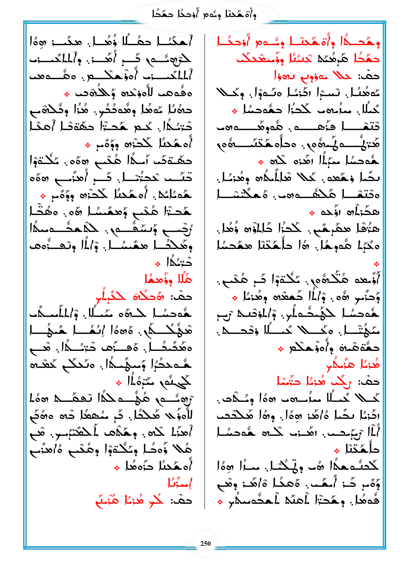وأَة هَٰذَا وِثَهِ لَا أَوْحَذًا حَقَّحًا

أَهْكُنُا حَقُبُلًا وُهُـا. هِنَيْ: ٥٥أَ للتَرْوَهُ مِنْ أَصَلَ بِمُ أَمَلِكُمْ مِنْ ٱلمَلْكُمِـــــزَى أَوْزَهَكْـــعْ وَوَصْـــوهما ەقەھىا لأەۋىدە كۆللەۋق ھ حەُنُا عَمَعًا وِهُدَدُدُر. هُنُا وِدَٰلَاھَب دْتِنُـكَٰا). كَــع هُدَـٰٓةِا حقّةَفْـا أَهـدْـا أُهِ هَٰذِيًا ۖ كَحَزْهِ ۚ وَوَّةٌ مِنْ يَهْ حَفَّـتَمَٰـ ٱسْمُا هُنْبٍ 30%. كَثْـتَةَوْا تْسَبْ تَدَيُّسْلَ. كَبِ أُهْنَبِ 500 هُدْلُكُمْ. أُه هُدْلُمْ كُحْزُرُه وِوَوَّمْ \* هَدْتَرَا هُدْبٍ وَهُمُسُلٍّ هَهِ. وَهُنَّا رُجْب وَسَدْفٌ مِنْ الْمُعَشَّدُ مِنْكُمْ وهُكْشًا مَعْسُلٍ. وْٱلْمَا وِتْعَــّْوَمَا دْنِكْمَا \* حُلًّا وؤُهمُا حقَّ: ﴿حَكْمَهُ كَثَيْلُهِ هُوصِيًا لِهُوَهِ مِمْسُلًا. وْالمَلْمِيكُ تَعَهُّكُمْ، هَ هُ أَرْتُمُ لَمْ هُ مِنْ لَمْ ەھَضَّـْـا. ەَڡــزَى تْـزَـْــدًا. ھَــو هُـهجَدُرُا وُسِمُّبِـدًا. وتَحكُم كَعْبَـرَه » الْمَامْتِمْ مِشْرِكْمْ أهدُّ! لاه . وِهَكُم لَمَكْتَبْسِ. مْبَع هُلا وُوحُل وِكُلَّةوْل وِهُكْبٍ وُاهِنَّب أُه هَٰحْنُا دَّوَهُا \* إمىزٌئل حقّ: كُمْ هُنْمًا هُنْبَ

وهُدجُا وأَةهُدَا وشَوْمَ أَوْحِكُمْ حفَحُل هَرمُعَهُ تَعِينُلُ وَوَسِعْدِكُت حق: حلا حووب بعوا عُوهُنَا. تَسْتَرَا اكْتَصًا وَنَسْوَا. وَجُمْلًا كَتِبُلاً. مترُموما لَكْتُرَا جَمَّوْصِمَا \* تتقط فأهضمن هُوهُكسوهم مَوْتِيْ \_\_ دِيْمَةٍ وَ دِيْمَةٍ مِنْ دَيْمَةٍ مِنْ مَنْ دَيْمَةٍ مِنْ مَنْ دَيْمَةٍ مِنْ مَنْ دَيْ هُوصِمًا مِمَّأًا أَهُزَهِ لَاهِ ﴾ بِصَا وَحَمِدٍ . كَلا هَالَماهِ وِهُزْمَا. ەقتقىل كَلْثُقْ دەب ، كَمَكْتْسْه هجُنْلُه اوْجِهِ هَ وَاللَّهُ عَظَّمَهُمْ اللَّذَالُ اللَّذَاهُ وَأَهْلَ وكَبَاء هُوها. هُ حاهَقتا معَصَلا أَوُّ هو هُنَّدُهُ مِ . كُنْتَهْ إِلَّا ضُرِ هُمْسٍ . وَحَنَّبِ رَّهُو. وَٱلْمَا حُمِعْدَه وِهُذِمَّا \* ـمُّەحسُــا ــلاَهُــثَــەـاُـر. وْالمۇتىــى رَب مَكْتُسْهَا. وَكَسْمًا كُمْسُلًا وْقْصْبِهْ. دهٌتْەشىرە وأەۋىمىگىر \* |هُنْدُا هَنْدَمْر حقَّ: رِبُّكَ هُزْمًا حَتَّصًا كَنْكُلّْ كُمْنُ الْمُمْسَرْدَة مِنْ وَالْمُحْمَدِينَ ادًائا بصًا هُ/هُا هوهُ أَ. وهُ أَهْكِنْدَ أَمْلَ تَهْتَصِبَ اهْتَ ذَلَ هُوَجِسًا دأحَنْثَا ﴾ لَكْتِسْمِعْدُا هُمْ وِيْكْتَمَا. مِعْدُلُ هِهُا وِّەٌمِ كُمْ أَمكُمْ، ەْھكْلْ ەْ/هُمْ: وْهْمِ فُوهُا. وِـمُحَبَّا أَعلَا أَحفُومِـلَامِ \*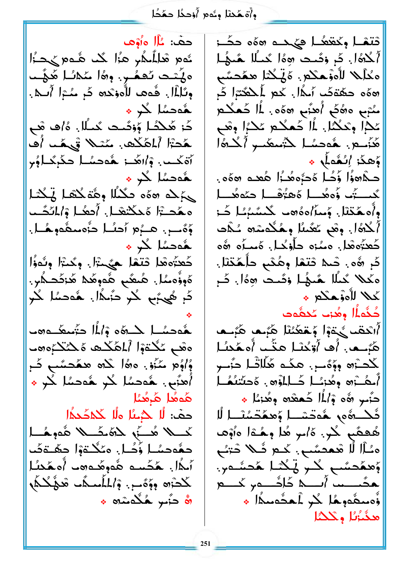وأَة هَٰذَا وِثَهِ لَا أَوْحَذَا حَمَّدًا

حقَّ: عْلَا هِأَوْهَ مُومِ هَلِلَمِلْمِ مِمَّا لَكَ هُومٍ حَجَدَا ەڭتت ئېگىر. وەا مىلائا ھَۇب وِتُلِيَّالِ. فُوعد الْأُوزْنَدِهِ كَرِ مُنْتِزَا أَسَدًا. هُّەھسُل كُبْ ۞ كَنْ هَٰلِكُمْ إِيَّا وَقَسَدَ كَبِيُلًا. وُ}َ هُمْ شَم هَجْتَةَ أَلْمَكُمْ. مَنْكُمْ تَيْهَمْ أَيْصَهُ أَة كَــب وْ/اهْــز هُوصِيُــا حَكْرِيْــاوُبِ ْهُدَسُا كُلِّ \* حَكَمَ السَّلَامِ وَهُوَ حَكْمًا لَّكُمْ الْمُكْتَبَ معَّدَّ أَمْكَنْعْدَلَ. أَصْدَا وْالْمُحْت وَوَّسِ مِنْ الْمِسْلَمِنْ مُوْمِيعَةٍ وَسَلَّى الْمُوَاسِيَةِ وَسَلَّى الْمُوَاسِيَةِ وَسَلَّى الْ هُّەحسُل كُمْ \* كَعِنَوْهُا قَتْمًا هِيَّتْ!. وِكُنْزَا وِثُووًا ەُوۋُەممُل. ھُىعَّى ھُەوھُك ھُدَكُكْتِر. كَ هُيَّبَ كُر حَبْدًا. هُءَهَمَا كُر هُوصِيًا لِحَدِوَّهِ وَٱلْمَا حَتَّمِيعًا وَمَدَّ ەھْم ئِكْتَوْا ٱلمُكْتَّ ەَكْتْكُرەھ  $\zeta$ وُم سَنَوْ. وهُ كَلاه همَّحسَب كَــ أُهنَّى . هُءَهنا لَحْرِ هُءَهنا لَحْرِ \* كُوهُا كُرِهُمُا حفَّ: لَا حَمْسًا ولَا حَمْحُدُا كَمِلًا هُـــنَّى لَمَةَ مَكَمَلًا هُومُسَا حِفْوَصُلِ وَّكُلْ. وَكُلْتَوْمَ حَكْتَفَهُمْ أَبْدًا. هَجَّسَة هُوقِيَّدة و أُوهَدْ) كْحَرْهِ وِوَوَّسِ. وْالمُسْكُب هْدْكُكْمْ <del>۞</del> حَزَىبِ ۿؘؘڵٛۮڡٛڎ۞

تتشا وكقفكا فيحده هؤه حكة أَكْلَاهُ أَ. ثُم وَثَّىتَ رَوْهُ كَمِثْلًا هُبِهُـأَ ەكأىلا للەۋھىكىر. ەَتىگىل ھۆدىئىم ههُه حقّةَهُب أمدًا. كُم لَمَكْتَرَا ثَم مُبْہِ وَهُکُمْ اُهْبُمْ وَوَٰهَ ۚ أَا کُمْکُمْ عْجَلَ وَحَكْمًا. ݣَا كَمْكُمْ عَكْبًا وْهَيْ هَٰٓ;َسو. هُوصُل لأَ;معَمَى أَكْمَا وَهِدًا إِلَيْهُمْ \* حَدَّهُوُا وَّكُـاْ هَجَوْهُـزُا هُعْـهِ هَهْوَ. كَعِيشَةٍ وَمَعْيَالٍ مُعْبُوْسِيا حَيْمَعُسِيا وأَه هَٰذَلاً. وَمِيزًاهِ؋وه ۖ كَيْسُبُنُـا حَـَـ; أَكْلَٰهَ!. وِهْمٍ مُعَمِّسًا وِهُكُمْسُدَهِ سُلَّاتٍ كَعْتُوْهُلْ. وَمُنْهُ حَلَّوْكُلْ. وَمَسَلُو رَقُو كَرِ هُو. شَكَّ دْتَعْا وِهُكُم حَالْمُخَتَا. ەڭلاڭنىلا ھُىھُل زېّىت ھۇل كَر كملا لأهوهكم \* كُنُّه لَمَّا وهُزم كَدْهُوت أَاتْحَمَّتْ الْمُتَمَّمَّةُ لِمَحْمَدَةٍ مَتَّقَدَّةٍ مَتَّقَدَّةٍ مَتَّقَدَّةٍ مَتَّقَدَّةٍ مَتَّق هُبُسِعٍ. أَهِ أَوْكُنْنَا هَنَّبَ أَهْهَدْنَا كُحنْزُه وِوَدَّى- مِكْم هَٰلَاتْ احْسَر أَحِكْتُوهِ وِهُزْسًا حَسَلَاوْوِ . هَدِئْتَنُعُسَا دَّىبِ ۞ وَ} أَمْ كَعِمْلِهِ وِهُٰٓ; أَمْ ثُكُــرُهُ مِ هُوحُـثَـــا وَمِهَجّـبُنْــا لَٰا هُعمَّمٍ كُر. هُامِر هُا وِهُـٰهَا هِأوْهَـ ەئال لا قىمتىئىسى. كىم ئىلا ئىنى وٌهمُحسَّبٍ كُبِّرٍ فَيَكْتَبَلَّ هُجِشَـٰءَرِّ. لمصَّـــــما أَنـــــــــــم كَــــــــم كَـــــــم وَّەمىھُەمِ ھُا كُر لُاھشُەمىدُا َ ﴾ هدُّنُرُل و تَكْتُلُ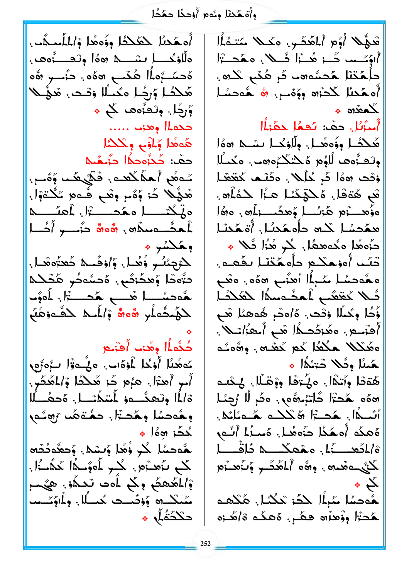وأَة هَٰذَا وِثَهِ لَا أَوْحَذًا حَقَّحًا

أَهمَّدْنَا ۖ لِكَلادًا ۖ وِؤُهمًا ۚ وَٱلمَلَّاسِدَّى ۖ وَ ولَلْغُنَّا بِشَيْدَ هُوَا وِيْفَاءُوهَا. ەَحسَّبُوماً كُنْسى «ەُو . حَنْسىر «ەُو هَٰلأَصَٰا وٖۡرَٰٓحَـٰا مَعۡـٰلًا وَصۡـٰد ۖ شَوۡتَـٰلا وَرِجًا. وِتَعَزُّدَتَ لَكَمْ \* حدمال وهنت ..... هُوهُا وُلْمُو وِكْكُلُ حقَ: كَذُوْهِكُمْ حَزْبَهُمْ ئەھُم أَحْكَمْكُلْعَدْ، قْلَمْلْكُمْمْ وَةَسْرِ. شَرُْمًا كُ; وَمُبِ وَشَمِ فُـ2مِ كَنْتَوْلَ. ه تَكْتَبْ أَنْ مَهْدَ \_\_\_; أعنَــــــد وهُكْسُو ﴾ لِكَرْجِئْنُـرٍ وُهُــا. وَٱوْقَــٰكَ خَعْبُوهُــا. دَّەْدَا وۡمَدۡزَمَٰۍ ٰ ەۡحَسَّەدُو ۚ هَٰۡدَكُمُ لْكُهُنُّمَامُ وَهُوَةٌ وَٱلْمَسْلَمُ لِكُفُّوْهُمُ حُذُه أَل وهُن، أُهْنُوم عَدَمُنَا أَوْحًا لَمُؤَدَّبٍ وَلَيْدَوْٓا بِهُوَرُو أُمِرِ أَهْتَرَا. هَزُهِ كُنْ هُكُكُمْ وْٱلْمُكَرِّ. ة/ـأا وتعكّـــوو لمُتـكُتـــا. هَحصُـــأَا وِهُوصُلِ وِهُدَبَّلَ. حَقَّةَهُمْ رُومُهُم  $\bullet$   $\bullet$   $\bullet$   $\leq$ َـَّمُّـفَصِّلُ لَكُو وُّهُلُّ وُسَيِّدٌ. وُصَفُّفَضُوَّتُهُ كُمْ يَرْهَبْو. كُمْ يَاهُ مُكْ كَلَّاتُوا. وْالْمُعْصَلِ وِكُمْ لَمَاتَ تَسْكُوْ. هِيَمْسِرِ مَمْكْدِ وَوَقَسِيْتِ كَمْسَلًا ، وِلْمَاوَمَسْت حَكْتُمْكُو \*

هْدُوْ أُوُم ٱلْمُكَــرِ. 20 مُــلا مُتَــدُاْ أَاؤَكَـــب كُـــز هُـــزًا شَـــلا . هكْـمــــرَّا داْهَٰڏلا هُڪسُوه کَرِ هُنْدِ کُلُو. أُهِ هَٰٓدُىٰلُ كُدْرُو وَوُهُ بِنِ ٱلصَّاحِفُ الْمُعَادِمُهُ  $\bullet$   $\bullet$   $\bullet$   $\bullet$ أَسِنَّلْ. حقَّ: تُعِمُّلْ حَقَّبْلُ كُلِكُما وِؤُوهُما. وِلَٰاؤِكُما بِشَيْدَ 160 وتعنُّوها لُلوُم هَ حَتكَمُوها و عَمْلًا وْتُد هِوَٰا ثُم خُلُما . وَكُنْتُ خَفْعَنَا هْم هُدْهْا. هَحْقِحُبًا هـزًا حَدُلُه. وَوْهِـــــزْمِ هَٰزِيُــــا وُهِجَّـــــزِيْمِ وَوَا همّحسًا كَلَّه حاهُمَّدسًا. أَة مَّدسًا دَّوهُا وَكُوهِمَا. كُمْ هُزًا ثُلا \* تْتُب أُهْهَدُهِ دَاهُمُنْتَا بِفَعْدٍ. معْدَمُسًا مُنْبِئًا أُهْبَى 30%. وقْع ثَــلا كَقفَــم لمُـعتَــمسمُل للفَلكُـل وَّدًا وِكُىلًا وْتُت. هَ/ەثْرِ هُەھْدًا هُـع أُهْبَــع. مغَنحَدجُا هَــع أَحقُوا َــلا . هَكَلا مِكْعُلِ كُمِ كَعْدِهِ . وِهُمْتُ هَمِلْا وِثَلا دْتِكْلَا \* هَدَدًا وِأَتِكْرًا. وَكُتَرْهَا وِوْهَـلًا. لِكَتَـد ههُه هُجْزًا خُاتِبُهُم، وضَرِ لَا رُحِمُـا ٱئىگا. حَدِّا ھَتَكُمُ حَمَائِكَ. ەْھكە أەھْكْل دەھُل. ەسىلا آئىم ة/الخمسةُ ا. مقعكسه مُاقْسا كَنْزَى وَهُدِهِ وَهِ وَهُو الْمُؤْمَّرِ وَلَزْهَدَ وَ  $\frac{1}{2}$  لا هُوصِمًا مَبْرِأَا ۖ لِأُخْرَ تَذَكَّلَ ۚ وَكُلُّفُوهِ هَجْزَا وِوْهِدْرَهِ هِجَمٍ. هُجِدَهِ وْأَهْدِهِ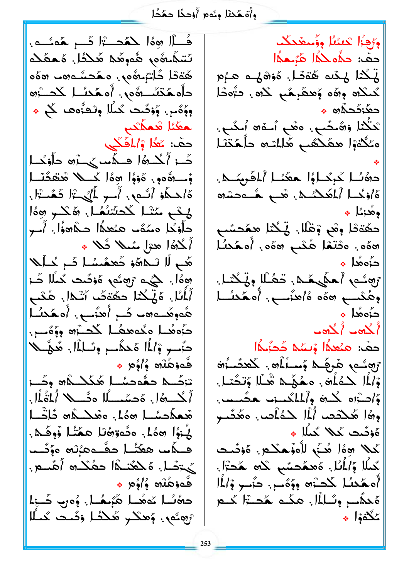وأَة هَٰذَا وِثَهِ لَا أَوْحَذَا حَمَّدًا

فُالَ هِوَٰا كُلُّهُ ۖ يَٰٓ ۖ وَ لَّٰٓ مَٰ مَنْ وَ ۖ وَ ئتىكْشُوه هُوهُدْ هُلْدًا. ەْھەلە هُقْدًا خُاتِبُهُ مِنْ مَهْجِسُوهِ وَهُو حاْهِ هَنّْنُسْدَهُ مِنْ أُهْ هَٰذَا ۖ كَحْتَرْه وِوۡهُم ِ. وۡوَصَّد گَمُلَا وِلۡعَنُّوها ۖ كُمۡ ﴾ هعَنُا شَمكَتَبِ<br>حقَّ: عَمَّا وْالمَكَّلِي كَة أَحْدَهُ الصَّلِّمِ حَسَنَهُ حَلَّوْحُمَل وََـــوْهُومِ بِ وَوْوَا وَوَا كَـــلا مْتَعَصَّلَــا هُ/حِكْمُو أَنُسِي. أُسِرِ لِمَالِيَــٰٓ;! كَـَمَــٰٓ;! . لِحْمِ مَتْلِ كَحِتْنَهُا. هَكَرِ هِمَا جاُوْكُا مِمْمُبٍ هِنُعَدًا حِكْمَوْاً. أُسِرِ أَحْدُهُ! هؤل مُمَلاً قُلاً ﴾ هُم لَا تَــدْهُوْ خَعْـمُسُــا ضَــْ عُــلُـلا ہومًا . گے۔ رُوھُی مُؤَکَّد گُلُّا کُ أَلْمَلْ. هَنِّـكْثا حَمَّةَكَــ أَشْـدَا. هُـدْب هُهوهُـــه٥ت كَــرِ أُهنَّنـــعِ. أَه هَكنُــا دَوْهُما وَيُوهِمَا لَكُمْرُو وَوَّةَ بِ دَّىبِ وْاٰمُا هَٰحْكَىبِ وِسَٰالْمَا. هُوَّىٰلا فُەزەمُلە ۋُاۋە پ تزكَّـــد حمُّدَحمُـــا هُكَـــدْهِ وَكَـــز أَحْدِثُهُ أَنْ كُلّْ مَتَّسَلًا هُـَــِ لَا أَمُّلُّ أَنْ قعكْحسُــا «ەُلم: ەقْعِــْـدْ« مُّلْتَـْـا لْمَ وَالَى اللَّهُ وَاللَّهُ وَاللَّهُ مَعْشًا وَوَهَكُمْ وَاللَّهُ فَسَمَّمَتْ مَعَيَّنَا حَقَّدَهِ مَرَّتَهُ مَؤَمَّدَت جَيْرْصًا. هَجْعَتْجْا حِقْحُمْ أَهْبِعْ. فُوهُنُدُه وُاوُم \* حەُنُـا مُوھُـا هُبُـمُـا. وُونِ خُـزِمْ رُومُهر. وُهنْكُمْ هُكْتُنَا وَثَبَتْ نُمْتُلَا

وَإِجْرًا تَنسُلُ وِوَمِيعْنِكُمْ حف: حَدُّه حَكَّا هُبُعَهَا يْكُمْ لِكْنَه هُوَدًا. هُوْشْلُتْ هَزُمْ كَمَلَاه وِهُو وَمِعَظِيمٌ لِلَّهِ عَنُوهَا ာပိုင်ငံကြီး تَتَبَّتْلَمْ وَهُمَصَّبٍ. هَفَّ أَمْـةَ هَ إُمَّمَّى. مَكْثَوْا مِكَلَّصَبِ مُّللتِهِ حالَمَتْنَا دەُنَا كَرِنَداوُا ھەدَّا أَلمَفَرِمَكِ. هُ/وَحُما أَلْمَعْكُمْ. هُبِ هُــوصْهِ وهُذِمُا \* حَقَّةَدًا وَهُمْ وَمَّلًا. نَجْكُنَا مِنْمُحِسَّب هؤه. وتَتَمَّا هُنْبِ هؤه. أُوهَٰدَنَّا جَّوهُا ﴾ بالمثلَاء اللُهُتَ بممْرِهُم أبوءُ صِ؟ وِهُنْسِمِ 50% هُ/هزَّسِمٍ. أَه هَٰدئُسا جَّوهُا \*  $sinh^2 cosh^2$ حقَّ: هنُعدُا وْسَدْ خَجَّنِدُا تَرْبَّكَ مِنْكُمْ وَمَسْلَمَاتٍ لَلْعَدَّسَةُ وْكُلًّا لِكَمُلُونَ. مَعُهُكُمْ شَكًّا وَتَحَتَـلَ. وَّاحِيَّاهِ كُنْ وَٱلْمَلَّكِينَ حَشَيْبٍ. وِهُا هُكْتُصَ ٱٰٓٓاْ كَـهُٰلُصَـٰ. ەَهُـصَّـِـ ەُوْشُت كْمْلا عُمْلا ﴾ كَمْلًا هِوَٰٓا هُنِّي الْأُوْزَعْكُمْ ﴾ وَدُمُكُمْ كَمِلًا وَٱلۡمَٰلَا ۚ هُ هَهُدَسَّى ۚ لَاهِ ۖ هُدَرَّا ﴾ أُهِ هَٰدَىٰلِ كُحِبْرَهِ ۚ وَوَّةَ بِ ذَرَبِ وَٱلْمَلَّا هُحكُب وِتَبِلْمَالِ. هَجُنْدْ هُجَنْرَا جُنْعَ يڭۋا پ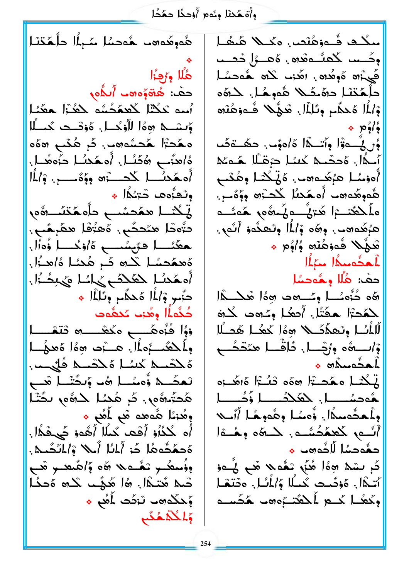وأَة هَٰذَا وِثَهِ لَا أَوْحَذًا حَقَّحًا

هُومُدهب هُدَسُا مُبِلًا داُهَتْنَا هُلًا وَرَجْزًا حق: هُةوَوه اللَّهِ أمه تَمَكَّنَا لَمُعَهَّضُمْهِ لَحَقَّةَا حَقَّدًا وَسْسَـــدْ هِهُا لِلُّوْحُـــا. هُوْشَــت جُمـــلَّا مَعْجَبًا مَّحِسُّوهِ۔ ذَرِ هُنْبِ هِوَهِ هُ/هزَّبٍ هُكَنُـا. أُههَّدَنُـا جَزْهِهُـا. أُهِ هَٰجِبُ لِ كَحِبَّةٍ وَوَّهُ بِ وَالْمَا وثعزُّەھ خَتٖىُدًا ﴾ تحشا ممحسّب حاْه مَتسَّدُه دَّوْدَا مئحضٌ وَمُرَّفَا مِمْرِهُبِ. حكنُـــــا هرَّبِسُــــــــــ هُ/وَحُـــــا وُهُ/ا. ةَهْجَمَا كَلَّهُ كُلِّ هُجْنَا ةَأَهْدُواْ. أَمْعَيْنِ لَنَارِحَ مَكْلَمَا لَمُعَمَّدُ!. حَنُبٍ وَٱلْمَا هُحَكُبٍ وِتُلَأَلَا \* كُنُّه لَمَٰ المُؤْمِنِينَ كَيْتَشُوتَ وَوُا قُذُهِ مَيْ مَحْمَدِ مِنْ قَسْمِهِ مِنْ الْمَسْمَدِ وأكعَكْبُ وَالْمِنْ هُبْتَ وَوَٰا وَهِ كَلْمَ الْمَسْتَرَىٰ ەلمكىلى كىئا ەلمكىلى ھُلگىلى. تَعَصَّــدُ وُّہنُـــل ہُب وَبِحَثَــل مَٓـــعِ هُحتُنُوُورٍ. ثَمِ هُدُا لَحَوُورٍ بِحُثْل وهُزْمًا هُوهو هُم لَمُو \* أُه ۚ كُكُنُوْ أَقْعَ ۚ كُمُلاً أَهُموْ جَيِـقَمُا ۖ. هُح**مَ**ّدُه مَا حَذ ٱلمَّالُ ٱلله وَٱلمَّكَسُمْ. ووُسطُـــو تَمُّـــه لا 6% وَ/هُتعب هُب تَىهِ مُتَمَّا. 16 مَّهُمَا كُلُّ مَّكْتُ وٌحكّدهت تَزَكَّت لَمُكُمْ ﴾ وَلِمُكَلِّمُكُمْ

سكْـد فُــەزمُتْت. ەڭــلا مُـھُـا وكَسْسَا لَكْمَنَّسْمَعْدُونَ وَاحْسَرُلْ شَعْسَا كَهِيْرَه هَوِهُده فِي الله عَلَى الله عَدْدَ الله داْهَتِنَا دِهَنَكَ هُوهُا. حَدَّه وْالْمَا هُحِكْمٍ وِنَالْمَا. شَجُعًلا فُءِهَنْتِهِ း ) ရှိ/နဲ့ وُرِ فُےوْٓا وَٱتَّىٰا هَاهوَى حَكَّـةَكَ أحدًا. ةحصّد كبئـا حرقـُلا هَــمَد أُوزِسُا عِزْهُــوهِــ. وَلِّكْتَا وِعُنْب هُومُدە أُوهَدْا ݣُدَرُه وَوُوُسِ. مأحكته رەۋىدى كات تۆكلە هَ مُحدهب. وهُم وْٱلْمَا وِتَعَدُّووْ أَنُوم. هَدَيْكَ قُدْدَهُنَّهُ وُاوُم \* الْمِدْمِيمُ الْمُبْتَدَ حف: هُلُّا وهُوصِمُا هُه دُوْمِـُــا وِمَـــهِد هِهُمْ هُـــهُــهَّا لحَمْحَتْزَا حَجَّتُلْ. أُحعُدا وِسُحِد لَحْدَة لَلْمَلْهِ وِتَعِدْكُمْ وَهُ لَا كَعْدَ هَدَلَا وْاسْتِدْهِ وَرُجْسًا. كَافْسًا مِنْحَجُس  $\cdot$   $\circ$   $\mathbb{R}$ لَّكْتُمَا مَعْجَبَّا 200 دْنُـَّ أَهْلَامَ هُومِيُنْ بِلْيَا جَدْ الْمُحْمَدُ وَحُرْ الْمُؤْمَّدُ وَحَرَّمَ الْمُؤْمَّدُ وَحَرَّمَ الْمُؤْمَّدُ وِلْمِحْدِمِيدًا. وُدِمُا وِهُدِهَا أَٱبْ أَنُوبِ لَاهِمُحُمْدُ. لِمَدْهُو وِهُــوْا حَقَّوْصُلُ لِّلْأَوُوهِ ﴾ كَرِ بِشِكَ هِوَٰا هُنِّي شَقْمَتَ هُم فُي عَفْ أَتـٰذَا. هُوَصَّـٰد گَمـُلَا وُٱلۡلَٰـٰا. هوَتَـٰهَـٰا وكعُما كَمِ لَمَحْتَبَىٰ وَ هُجُسِمٍ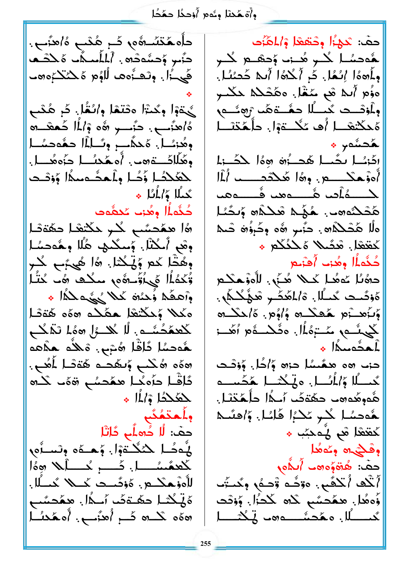وأَة هَٰذَا وِثَهِ لَا أَوْحَذًا حَمَّدًا

حادهُقئىگە دُمِ هُنْبِ ەُاهْنِي. دَّەبِ وَجِيَّەدُه ِ. ٱلْمُلَّىلِكُ هَٰكُتُـُـُّفَ فَهِيزًا. وِنْصَزُّوها لِّأَوُم وَّحْتَكْبُوها يُّةَوْا وِكُنْزَا هِنْتَمَا وِائْتُمَا. كَرِ هُكْب ةُ اهنَّب . حنَّسو هُ٥ وَٱلْمَا حَمْعَسُ وهُنسًا. هُحَدٌّبٍ وسَّالُهُ حَمَّدَمُنَا وِهَٰللاَـُـــة هـد : أُه هَٰدُنُـــل دَوْهُــــل: لمَعَلَّاتُما وَّضُا وِلْمَشُوسِكًا وَوَصْحَد ِّكْمِلًا وَ*اٰلِ*لُّكَ \* كُثُماُ وهُن مُكفُّوت هُا مِمُحسَّى كُـرِ مكْتَعْدَ حَمَّةَتْدَ وهَمْ أَمْكُنَّا. وَمَمَّكُنُوا هُلًّا وِهُوَجِسًا. وَهَٰثًا مَم وَيَٰكُمْا. 16 هُيَّبَ كَبِرٍ وَّكَمُ*اْ* أَيْ أَوَّكْ مَعْ مَعْنَاهِ مِنْ مَنْ الْمَكْتَبَاءِ وألْمَك عَرْضٍ كَمَلاً مَنْكُمْ فَيَكُمْ \* مَكلاً وَحَكْتَهَا هِمَكُمْ «هَ» هُتْشَا كَعْعَدُمْــُــهِ. لَا كُلّْـــوْلِ 2,6% نَّمَّكُــمِ هُوصُل ثَاقًا هُبْبٍ. وَلِكُو هَاوُهِ ەەُە شكىم ۆىھھە ھەشا لمُعْم. حْفَحْدُا وْالْمَا \* وأحتمئه حفَّ: لَا خُولُب دَاتْا لِمُعكِّلٍ لِمَكْتَوْلٍ. وَحَصَمَه وَتَسَبَّى كَعْعُسُــا. كَــــ كَـــاْلَا هِهُا لِلْمَوْحَكَـــمْ. هُوْثَـــت كَـــلا كَنـــلّل ەَيِّىْدَا حَمَّـةَكَ آَسْدًا. ھەجسَّى ههُه گده کُبِ اُهنُسِي. اُه هَٰدَسُــا

حفَ: ثَكِيْزًا وِحْتَفِعْا وْالْمَنْف هُوصسُا كُلِّر هُـ:ب وُحقَــع كُلّـرِ وِلَمِهِ وَالْمَالِي فَو أَلْحُمُوا أَبِيهِ خَمِيْنَا وَ هُوَم أَله هُم سَفْلَ. هفْشَله لمكَّس وأوثـــد كُنـــلا حمُـــةهُــه رُوحُـــم هَحكْتَعْصَــا أَفْ عَكْـــةوْلِ. جَلْهُجْنَـــا ـمُحِشُومِ \* ادَّنُــا بِمَــا هُدــزُه هِهُا لِكَــٰ ; أَهْوَ هَنْكُلُ مِنْ وَهُمْ هُكْتُمْـــبِ ٱلْمَلْمَــــبِ لمستفلَّصه هُستوهم هُستوهم هُتَحْدُه مِن. هُمُِّمْ شَخْلُهِ وَتَحَمُّلُ هِلْمُ هَٰحَكُمُهِ . حَنُبٍ هُو وِحَرْوَٰهَ حَيْمً كَقَفَا. مْدَّىلا ەْلْمُكُلُّم م حُذُه أَل وهُن، أُهْزَىع دەُنَا عَمْدا كَكَ هُنِّي. لأُمْوْهِكُم ەُوَكَىت كَنىلَا . ة/لمَّكَتْب شَوْبُكْتُمْ . وَبَزْهِدْ وَمُهْدَلِهِ مَادُومٍ. كَالْمَكْتُ كَحِيثُــمِهِ مَــْتِهُمَّالَ. هَفُــمَــهُم ٱهَــز أحدَّد الْهُ حزب ٥٥ همَّسُل حزه وُاحُل. وُوْتَـت كَحَسْلًا وُٱلْمُرْسَلِ. ويْكْتَسَلْ هُجُمْسَـه هُومُدهب حمُّةَكُ أَحدًّا حلَّمَّتَطَ. هُوصُلِ كُلِّرٍ مَكْرًا قَاسًا. وَٱقْتُمْ \* سُمْمَتْ مِنْ الْمُعْصَمَ وقثيره وخوشا حق: هُ قَوْوه من أَكْمَام أَنَّكَ اُتَّكَفُّم. وَوَشُّه وَّحِمُّ وِكُنَّتُ ؤُەھُل. ھڪَڪِئُب گُلُّ گُڪرًا. وُوْتَڪ ئىسسال. ەھكىشىسمەم قىڭگىسىل